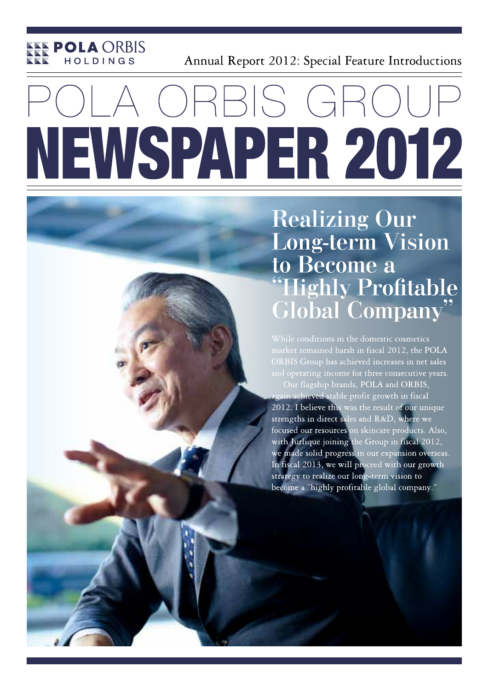

Annual Report 2012: Special Feature Introductions

# RAIS GI NEWSPAPER 2012

**Realizing Our Long-term Vision** to Become a **Highly Profitable Global Company'** 

While conditions in the domestic cosmetics market remained harsh in fiscal 2012, the POLA ORBIS Group has achieved increases in net sales Our flagship brands, POLA and ORBIS, ain achieved stable profit growth in fiscal 2012. I believe this was the result of our unique strengths in direct sales and R&D, where we focused our resources on skincare products. Also, with Jurlique joining the Group in fiscal 2012, we made solid progress in our expansion overseas. In fiscal 2013, we will proceed with our growth strategy to realize our long-term vision to become a "highly profitable global company."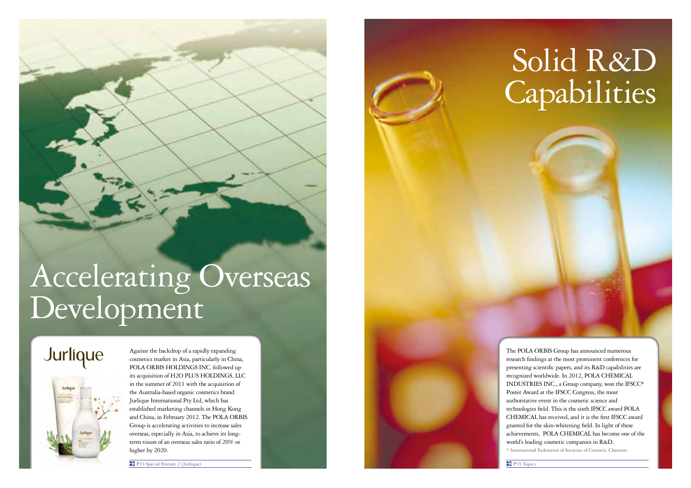# Accelerating Overseas Development

### Jurlique



Against the backdrop of a rapidly expanding cosmetics market in Asia, particularly in China, POLA ORBIS HOLDINGS INC. followed up its acquisition of H2O PLUS HOLDINGS, LLC in the summer of 2011 with the acquisition of the Australia-based organic cosmetics brand Jurlique International Pty Ltd, which has established marketing channels in Hong Kong and China, in February 2012. The POLA ORBIS Group is accelerating activities to increase sales overseas, especially in Asia, to achieve its longterm vision of an overseas sales ratio of 20% or higher by 2020.

P24 Special Feature 2 (Jurlique) P35 Topics

## Solid R&D Capabilities

The POLA ORBIS Group has announced numerous research findings at the most prominent conferences for presenting scientific papers, and its R&D capabilities are recognized worldwide. In 2012, POLA CHEMICAL INDUSTRIES INC., a Group company, won the IFSCC\* Poster Award at the IFSCC Congress, the most authoritative event in the cosmetic science and technologies field. This is the sixth IFSCC award POLA CHEMICAL has received, and it is the first IFSCC award granted for the skin-whitening field. In light of these achievements, POLA CHEMICAL has become one of the world's leading cosmetic companies in R&D. \* International Federation of Societies of Cosmetic Chemists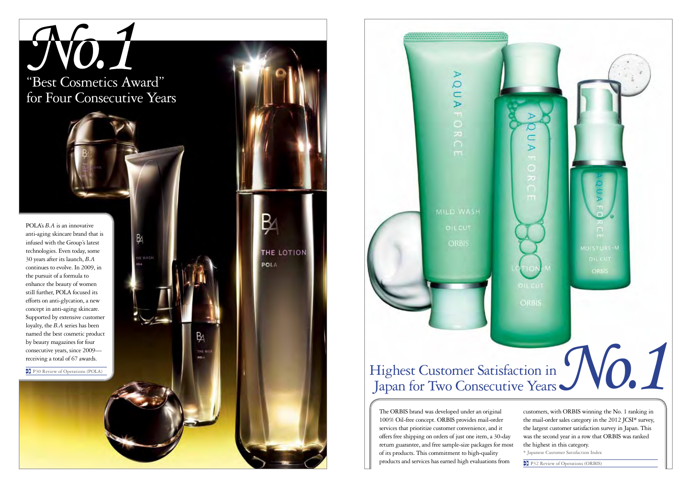



The ORBIS brand was developed under an original 100% Oil-free concept. ORBIS provides mail-order services that prioritize customer convenience, and it offers free shipping on orders of just one item, a 30-day return guarantee, and free sample-size packages for most of its products. This commitment to high-quality products and services has earned high evaluations from

customers, with ORBIS winning the No. 1 ranking in the mail-order sales category in the 2012 JCSI\* survey, the largest customer satisfaction survey in Japan. This was the second year in a row that ORBIS was ranked the highest in this category.

\* Japanese Customer Satisfaction Index

P<sub>32</sub> Review of Operations (ORBIS)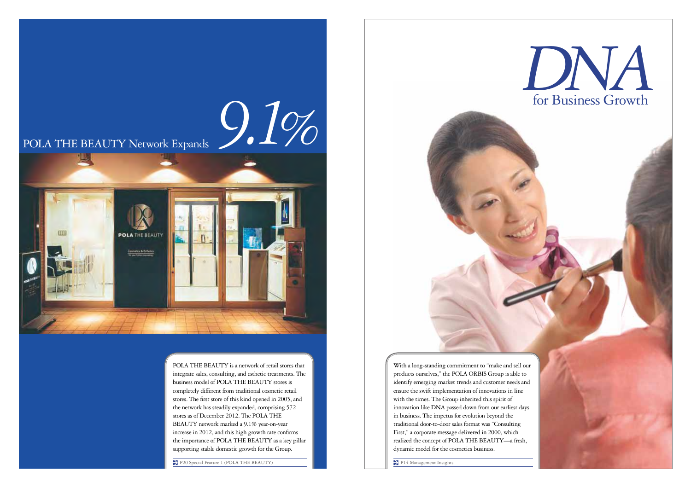

POLA THE BEAUTY is a network of retail stores that integrate sales, consulting, and esthetic treatments. The business model of POLA THE BEAUTY stores is completely different from traditional cosmetic retail stores. The first store of this kind opened in 2005, and the network has steadily expanded, comprising 572 stores as of December 2012. The POLA THE BEAUTY network marked a 9.1% year-on-year increase in 2012, and this high growth rate confirms the importance of POLA THE BEAUTY as a key pillar supporting stable domestic growth for the Group.

P20 Special Feature 1 (POLA THE BEAUTY)

*DNA* for Business Growth

With a long-standing commitment to "make and sell our products ourselves," the POLA ORBIS Group is able to identify emerging market trends and customer needs and ensure the swift implementation of innovations in line with the times. The Group inherited this spirit of innovation like DNA passed down from our earliest days in business. The impetus for evolution beyond the traditional door-to-door sales format was "Consulting First," a corporate message delivered in 2000, which realized the concept of POLA THE BEAUTY—a fresh, dynamic model for the cosmetics business.

P14 Management Insights